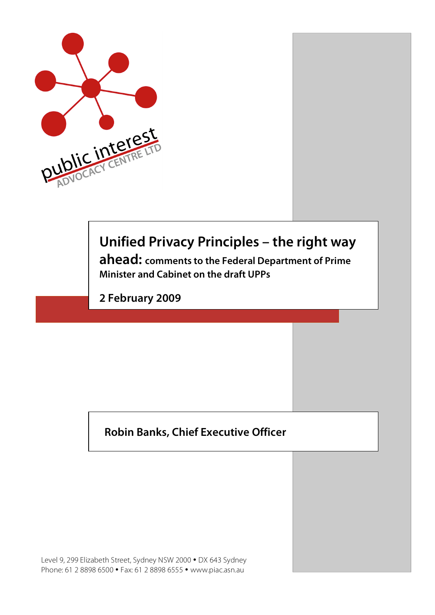

# **Unified Privacy Principles – the right way**

**ahead: comments to the Federal Department of Prime Minister and Cabinet on the draft UPPs**

**2 February 2009**

## **Robin Banks, Chief Executive Officer**

Level 9, 299 Elizabeth Street, Sydney NSW 2000 • DX 643 Sydney Phone: 61 2 8898 6500 • Fax: 61 2 8898 6555 • www.piac.asn.au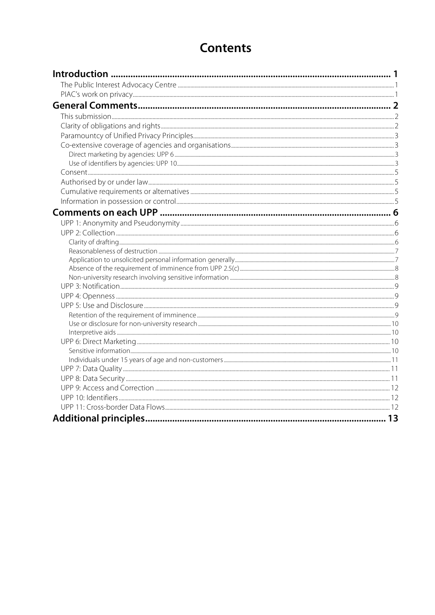## **Contents**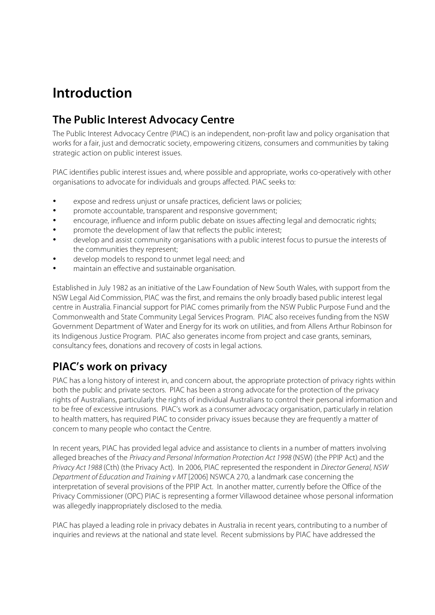# **Introduction**

## **The Public Interest Advocacy Centre**

The Public Interest Advocacy Centre (PIAC) is an independent, non-profit law and policy organisation that works for a fair, just and democratic society, empowering citizens, consumers and communities by taking strategic action on public interest issues.

PIAC identifies public interest issues and, where possible and appropriate, works co-operatively with other organisations to advocate for individuals and groups affected. PIAC seeks to:

- expose and redress unjust or unsafe practices, deficient laws or policies;
- promote accountable, transparent and responsive government;
- encourage, influence and inform public debate on issues affecting legal and democratic rights;
- promote the development of law that reflects the public interest;
- develop and assist community organisations with a public interest focus to pursue the interests of the communities they represent;
- develop models to respond to unmet legal need; and
- maintain an effective and sustainable organisation.

Established in July 1982 as an initiative of the Law Foundation of New South Wales, with support from the NSW Legal Aid Commission, PIAC was the first, and remains the only broadly based public interest legal centre in Australia. Financial support for PIAC comes primarily from the NSW Public Purpose Fund and the Commonwealth and State Community Legal Services Program. PIAC also receives funding from the NSW Government Department of Water and Energy for its work on utilities, and from Allens Arthur Robinson for its Indigenous Justice Program. PIAC also generates income from project and case grants, seminars, consultancy fees, donations and recovery of costs in legal actions.

## **PIAC's work on privacy**

PIAC has a long history of interest in, and concern about, the appropriate protection of privacy rights within both the public and private sectors. PIAC has been a strong advocate for the protection of the privacy rights of Australians, particularly the rights of individual Australians to control their personal information and to be free of excessive intrusions. PIAC's work as a consumer advocacy organisation, particularly in relation to health matters, has required PIAC to consider privacy issues because they are frequently a matter of concern to many people who contact the Centre.

In recent years, PIAC has provided legal advice and assistance to clients in a number of matters involving alleged breaches of the Privacy and Personal Information Protection Act 1998 (NSW) (the PPIP Act) and the Privacy Act 1988 (Cth) (the Privacy Act). In 2006, PIAC represented the respondent in Director General, NSW Department of Education and Training v MT [2006] NSWCA 270, a landmark case concerning the interpretation of several provisions of the PPIP Act. In another matter, currently before the Office of the Privacy Commissioner (OPC) PIAC is representing a former Villawood detainee whose personal information was allegedly inappropriately disclosed to the media.

PIAC has played a leading role in privacy debates in Australia in recent years, contributing to a number of inquiries and reviews at the national and state level. Recent submissions by PIAC have addressed the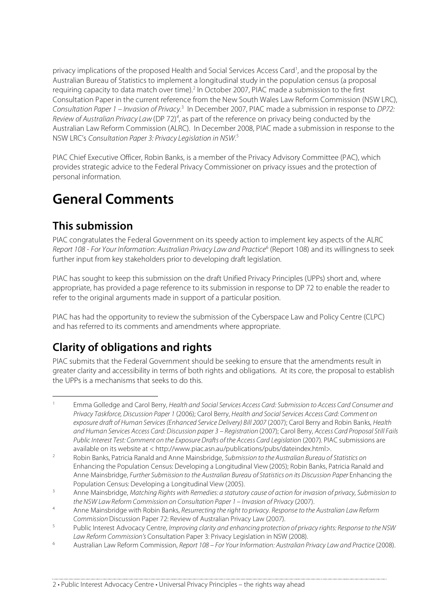privacy implications of the proposed Health and Social Services Access Card<sup>1</sup>, and the proposal by the Australian Bureau of Statistics to implement a longitudinal study in the population census (a proposal requiring capacity to data match over time).<sup>2</sup> In October 2007, PIAC made a submission to the first Consultation Paper in the current reference from the New South Wales Law Reform Commission (NSW LRC), Consultation Paper 1 – Invasion of Privacy.<sup>3</sup> In December 2007, PIAC made a submission in response to DP72: Review of Australian Privacy Law (DP 72)<sup>4</sup>, as part of the reference on privacy being conducted by the Australian Law Reform Commission (ALRC). In December 2008, PIAC made a submission in response to the NSW LRC's Consultation Paper 3: Privacy Legislation in NSW.<sup>5</sup>

PIAC Chief Executive Officer, Robin Banks, is a member of the Privacy Advisory Committee (PAC), which provides strategic advice to the Federal Privacy Commissioner on privacy issues and the protection of personal information.

# **General Comments**

## **This submission**

PIAC congratulates the Federal Government on its speedy action to implement key aspects of the ALRC Report 108 - For Your Information: Australian Privacy Law and Practice<sup>6</sup> (Report 108) and its willingness to seek further input from key stakeholders prior to developing draft legislation.

PIAC has sought to keep this submission on the draft Unified Privacy Principles (UPPs) short and, where appropriate, has provided a page reference to its submission in response to DP 72 to enable the reader to refer to the original arguments made in support of a particular position.

PIAC has had the opportunity to review the submission of the Cyberspace Law and Policy Centre (CLPC) and has referred to its comments and amendments where appropriate.

## **Clarity of obligations and rights**

PIAC submits that the Federal Government should be seeking to ensure that the amendments result in greater clarity and accessibility in terms of both rights and obligations. At its core, the proposal to establish the UPPs is a mechanisms that seeks to do this.

Emma Golledge and Carol Berry, Health and Social Services Access Card: Submission to Access Card Consumer and Privacy Taskforce, Discussion Paper 1 (2006); Carol Berry, Health and Social Services Access Card: Comment on exposure draft of Human Services (Enhanced Service Delivery) Bill 2007 (2007); Carol Berry and Robin Banks, Health and Human Services Access Card: Discussion paper 3 – Registration (2007); Carol Berry, Access Card Proposal Still Fails Public Interest Test: Comment on the Exposure Drafts of the Access Card Legislation (2007). PIAC submissions are available on its website at < http://www.piac.asn.au/publications/pubs/dateindex.html>.

<sup>2</sup> Robin Banks, Patricia Ranald and Anne Mainsbridge, Submission to the Australian Bureau of Statistics on Enhancing the Population Census: Developing a Longitudinal View (2005); Robin Banks, Patricia Ranald and Anne Mainsbridge, Further Submission to the Australian Bureau of Statistics on its Discussion Paper Enhancing the Population Census: Developing a Longitudinal View (2005).

<sup>&</sup>lt;sup>3</sup> Anne Mainsbridge, Matching Rights with Remedies: a statutory cause of action for invasion of privacy, Submission to the NSW Law Reform Commission on Consultation Paper 1 – Invasion of Privacy (2007).

<sup>&</sup>lt;sup>4</sup> Anne Mainsbridge with Robin Banks, Resurrecting the right to privacy. Response to the Australian Law Reform Commission Discussion Paper 72: Review of Australian Privacy Law (2007).

<sup>&</sup>lt;sup>5</sup> Public Interest Advocacy Centre, Improving clarity and enhancing protection of privacy rights: Response to the NSW Law Reform Commission's Consultation Paper 3: Privacy Legislation in NSW (2008).

<sup>6</sup> Australian Law Reform Commission, Report 108 – For Your Information: Australian Privacy Lawand Practice (2008).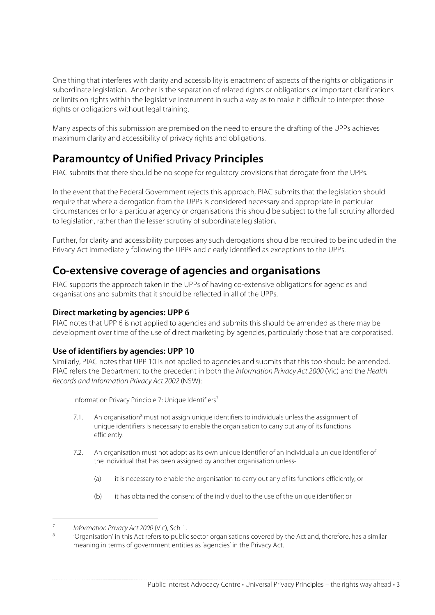One thing that interferes with clarity and accessibility is enactment of aspects of the rights or obligations in subordinate legislation. Another is the separation of related rights or obligations or important clarifications or limits on rights within the legislative instrument in such a way as to make it difficult to interpret those rights or obligations without legal training.

Many aspects of this submission are premised on the need to ensure the drafting of the UPPs achieves maximum clarity and accessibility of privacy rights and obligations.

## **Paramountcy of Unified Privacy Principles**

PIAC submits that there should be no scope for regulatory provisions that derogate from the UPPs.

In the event that the Federal Government rejects this approach, PIAC submits that the legislation should require that where a derogation from the UPPs is considered necessary and appropriate in particular circumstances or for a particular agency or organisations this should be subject to the full scrutiny afforded to legislation, rather than the lesser scrutiny of subordinate legislation.

Further, for clarity and accessibility purposes any such derogations should be required to be included in the Privacy Act immediately following the UPPs and clearly identified as exceptions to the UPPs.

## **Co-extensive coverage of agencies and organisations**

PIAC supports the approach taken in the UPPs of having co-extensive obligations for agencies and organisations and submits that it should be reflected in all of the UPPs.

#### **Direct marketing by agencies: UPP 6**

PIAC notes that UPP 6 is not applied to agencies and submits this should be amended as there may be development over time of the use of direct marketing by agencies, particularly those that are corporatised.

#### **Use of identifiers by agencies: UPP 10**

Similarly, PIAC notes that UPP 10 is not applied to agencies and submits that this too should be amended. PIAC refers the Department to the precedent in both the Information Privacy Act 2000 (Vic) and the Health Records and Information Privacy Act 2002 (NSW):

Information Privacy Principle 7: Unique Identifiers<sup>7</sup>

- 7.1. An organisation<sup>8</sup> must not assign unique identifiers to individuals unless the assignment of unique identifiers is necessary to enable the organisation to carry out any of its functions efficiently.
- 7.2. An organisation must not adopt as its own unique identifier of an individual a unique identifier of the individual that has been assigned by another organisation unless-
	- (a) it is necessary to enable the organisation to carry out any of its functions efficiently; or
	- (b) it has obtained the consent of the individual to the use of the unique identifier; or

 <sup>7</sup> Information Privacy Act <sup>2000</sup> (Vic), Sch 1.

<sup>&#</sup>x27;Organisation' in this Act refers to public sector organisations covered by the Act and, therefore, has a similar meaning in terms of government entities as 'agencies' in the Privacy Act.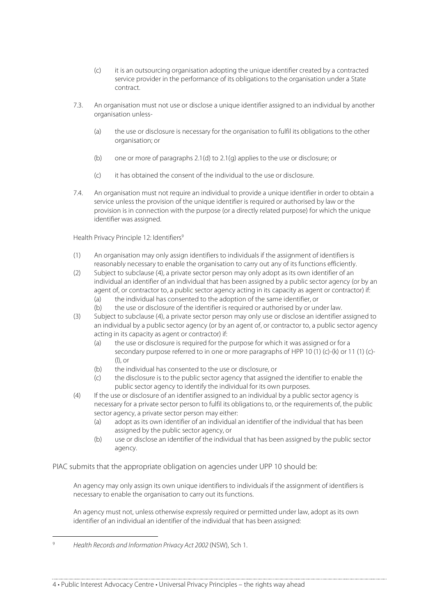- (c) it is an outsourcing organisation adopting the unique identifier created by a contracted service provider in the performance of its obligations to the organisation under a State contract.
- 7.3. An organisation must not use or disclose a unique identifier assigned to an individual by another organisation unless-
	- (a) the use or disclosure is necessary for the organisation to fulfil its obligations to the other organisation; or
	- (b) one or more of paragraphs 2.1(d) to 2.1(g) applies to the use or disclosure; or
	- (c) it has obtained the consent of the individual to the use or disclosure.
- 7.4. An organisation must not require an individual to provide a unique identifier in order to obtain a service unless the provision of the unique identifier is required or authorised by law or the provision is in connection with the purpose (or a directly related purpose) for which the unique identifier was assigned.

Health Privacy Principle 12: Identifiers<sup>9</sup>

- (1) An organisation may only assign identifiers to individuals if the assignment of identifiers is reasonably necessary to enable the organisation to carry out any of its functions efficiently.
- (2) Subject to subclause (4), a private sector person may only adopt as its own identifier of an individual an identifier of an individual that has been assigned by a public sector agency (or by an agent of, or contractor to, a public sector agency acting in its capacity as agent or contractor) if:
	- (a) the individual has consented to the adoption of the same identifier, or
	- (b) the use or disclosure of the identifier is required or authorised by or under law.
- (3) Subject to subclause (4), a private sector person may only use or disclose an identifier assigned to an individual by a public sector agency (or by an agent of, or contractor to, a public sector agency acting in its capacity as agent or contractor) if:
	- (a) the use or disclosure is required for the purpose for which it was assigned or for a secondary purpose referred to in one or more paragraphs of HPP 10 (1) (c)-(k) or 11 (1) (c)- (l), or
	- (b) the individual has consented to the use or disclosure, or
	- (c) the disclosure is to the public sector agency that assigned the identifier to enable the public sector agency to identify the individual for its own purposes.
- (4) If the use or disclosure of an identifier assigned to an individual by a public sector agency is necessary for a private sector person to fulfil its obligations to, or the requirements of, the public sector agency, a private sector person may either:
	- (a) adopt as its own identifier of an individual an identifier of the individual that has been assigned by the public sector agency, or
	- (b) use or disclose an identifier of the individual that has been assigned by the public sector agency.

PIAC submits that the appropriate obligation on agencies under UPP 10 should be:

An agency may only assign its own unique identifiers to individuals if the assignment of identifiers is necessary to enable the organisation to carry out its functions.

An agency must not, unless otherwise expressly required or permitted under law, adopt as its own identifier of an individual an identifier of the individual that has been assigned:

 <sup>9</sup> Health Records and Information Privacy Act <sup>2002</sup> (NSW), Sch 1.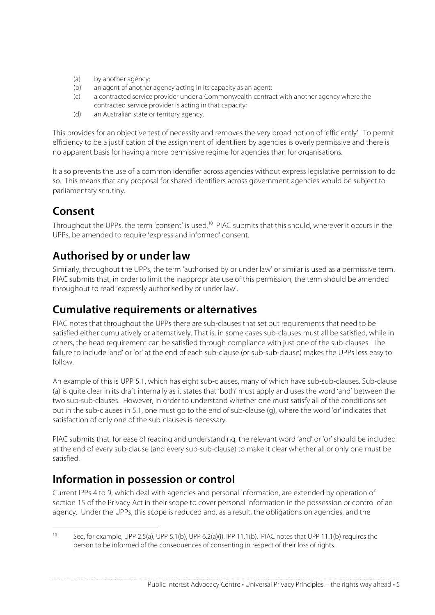- (a) by another agency;
- (b) an agent of another agency acting in its capacity as an agent;
- (c) a contracted service provider under a Commonwealth contract with another agency where the contracted service provider is acting in that capacity;
- (d) an Australian state or territory agency.

This provides for an objective test of necessity and removes the very broad notion of 'efficiently'. To permit efficiency to be a justification of the assignment of identifiers by agencies is overly permissive and there is no apparent basis for having a more permissive regime for agencies than for organisations.

It also prevents the use of a common identifier across agencies without express legislative permission to do so. This means that any proposal for shared identifiers across government agencies would be subject to parliamentary scrutiny.

## **Consent**

Throughout the UPPs, the term 'consent' is used.<sup>10</sup> PIAC submits that this should, wherever it occurs in the UPPs, be amended to require 'express and informed' consent.

## **Authorised by or under law**

Similarly, throughout the UPPs, the term 'authorised by or under law' or similar is used as a permissive term. PIAC submits that, in order to limit the inappropriate use of this permission, the term should be amended throughout to read 'expressly authorised by or under law'.

### **Cumulative requirements or alternatives**

PIAC notes that throughout the UPPs there are sub-clauses that set out requirements that need to be satisfied either cumulatively or alternatively. That is, in some cases sub-clauses must all be satisfied, while in others, the head requirement can be satisfied through compliance with just one of the sub-clauses. The failure to include 'and' or 'or' at the end of each sub-clause (or sub-sub-clause) makes the UPPs less easy to follow.

An example of this is UPP 5.1, which has eight sub-clauses, many of which have sub-sub-clauses. Sub-clause (a) is quite clear in its draft internally as it states that 'both' must apply and uses the word 'and' between the two sub-sub-clauses. However, in order to understand whether one must satisfy all of the conditions set out in the sub-clauses in 5.1, one must go to the end of sub-clause (g), where the word 'or' indicates that satisfaction of only one of the sub-clauses is necessary.

PIAC submits that, for ease of reading and understanding, the relevant word 'and' or 'or' should be included at the end of every sub-clause (and every sub-sub-clause) to make it clear whether all or only one must be satisfied.

## **Information in possession or control**

Current IPPs 4 to 9, which deal with agencies and personal information, are extended by operation of section 15 of the Privacy Act in their scope to cover personal information in the possession or control of an agency. Under the UPPs, this scope is reduced and, as a result, the obligations on agencies, and the

 <sup>10</sup> See, for example, UPP 2.5(a), UPP 5.1(b), UPP 6.2(a)(i), IPP 11.1(b). PIAC notes that UPP 11.1(b) requires the person to be informed of the consequences of consenting in respect of their loss of rights.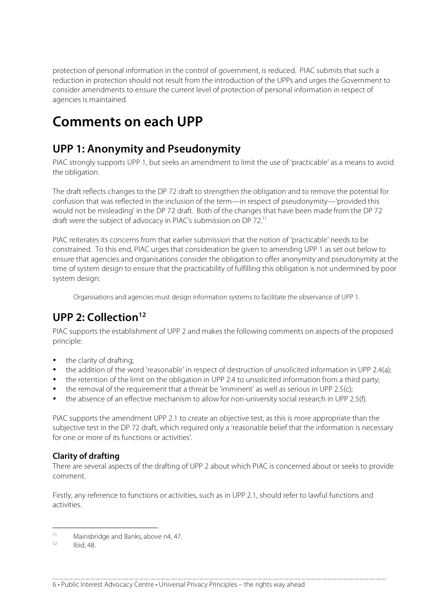protection of personal information in the control of government, is reduced. PIAC submits that such a reduction in protection should not result from the introduction of the UPPs and urges the Government to consider amendments to ensure the current level of protection of personal information in respect of agencies is maintained.

# **Comments on each UPP**

## **UPP 1: Anonymity and Pseudonymity**

PIAC strongly supports UPP 1, but seeks an amendment to limit the use of 'practicable' as a means to avoid the obligation.

The draft reflects changes to the DP 72 draft to strengthen the obligation and to remove the potential for confusion that was reflected in the inclusion of the term—in respect of pseudonymity—'provided this would not be misleading' in the DP 72 draft. Both of the changes that have been made from the DP 72 draft were the subject of advocacy in PIAC's submission on DP 72.<sup>11</sup>

PIAC reiterates its concerns from that earlier submission that the notion of 'practicable' needs to be constrained. To this end, PIAC urges that consideration be given to amending UPP 1 as set out below to ensure that agencies and organisations consider the obligation to offer anonymity and pseudonymity at the time of system design to ensure that the practicability of fulfilling this obligation is not undermined by poor system design:

Organisations and agencies must design information systems to facilitate the observance of UPP 1.

## **UPP** 2: Collection<sup>12</sup>

PIAC supports the establishment of UPP 2 and makes the following comments on aspects of the proposed principle:

- the clarity of drafting;
- the addition of the word 'reasonable' in respect of destruction of unsolicited information in UPP 2.4(a);
- the retention of the limit on the obligation in UPP 2.4 to unsolicited information from a third party;
- the removal of the requirement that a threat be 'imminent' as well as serious in UPP 2.5(c);
- the absence of an effective mechanism to allow for non-university social research in UPP 2.5(f).

PIAC supports the amendment UPP 2.1 to create an objective test, as this is more appropriate than the subjective test in the DP 72 draft, which required only a 'reasonable belief that the information is necessary for one or more of its functions or activities'.

#### **Clarity of drafting**

There are several aspects of the drafting of UPP 2 about which PIAC is concerned about or seeks to provide comment.

Firstly, any reference to functions or activities, such as in UPP 2.1, should refer to lawful functions and activities.

<sup>&</sup>lt;sup>11</sup> Mainsbridge and Banks, above  $n4$ , 47.

Ibid, 48.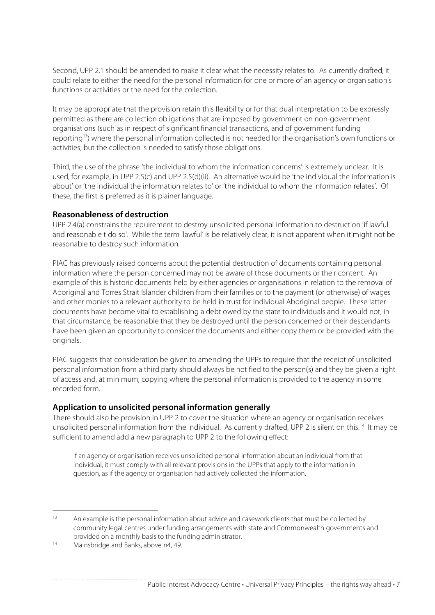Second, UPP 2.1 should be amended to make it clear what the necessity relates to. As currently drafted, it could relate to either the need for the personal information for one or more of an agency or organisation's functions or activities or the need for the collection.

It may be appropriate that the provision retain this flexibility or for that dual interpretation to be expressly permitted as there are collection obligations that are imposed by government on non-government organisations (such as in respect of significant financial transactions, and of government funding reporting<sup>13</sup>) where the personal information collected is not needed for the organisation's own functions or activities, but the collection is needed to satisfy those obligations.

Third, the use of the phrase 'the individual to whom the information concerns' is extremely unclear. It is used, for example, in UPP 2.5(c) and UPP 2.5(d)(ii). An alternative would be 'the individual the information is about' or 'the individual the information relates to' or 'the individual to whom the information relates'. Of these, the first is preferred as it is plainer language.

#### **Reasonableness of destruction**

UPP 2.4(a) constrains the requirement to destroy unsolicited personal information to destruction 'if lawful and reasonable t do so'. While the term 'lawful' is be relatively clear, it is not apparent when it might not be reasonable to destroy such information.

PIAC has previously raised concerns about the potential destruction of documents containing personal information where the person concerned may not be aware of those documents or their content. An example of this is historic documents held by either agencies or organisations in relation to the removal of Aboriginal and Torres Strait Islander children from their families or to the payment (or otherwise) of wages and other monies to a relevant authority to be held in trust for individual Aboriginal people. These latter documents have become vital to establishing a debt owed by the state to individuals and it would not, in that circumstance, be reasonable that they be destroyed until the person concerned or their descendants have been given an opportunity to consider the documents and either copy them or be provided with the originals.

PIAC suggests that consideration be given to amending the UPPs to require that the receipt of unsolicited personal information from a third party should always be notified to the person(s) and they be given a right of access and, at minimum, copying where the personal information is provided to the agency in some recorded form.

#### **Application to unsolicited personal information generally**

There should also be provision in UPP 2 to cover the situation where an agency or organisation receives unsolicited personal information from the individual. As currently drafted, UPP 2 is silent on this.<sup>14</sup> It may be sufficient to amend add a new paragraph to UPP 2 to the following effect:

If an agency or organisation receives unsolicited personal information about an individual from that individual, it must comply with all relevant provisions in the UPPs that apply to the information in question, as if the agency or organisation had actively collected the information.

<sup>&</sup>lt;sup>13</sup> An example is the personal information about advice and casework clients that must be collected by community legal centres under funding arrangements with state and Commonwealth governments and provided on a monthly basis to the funding administrator.

 $14$  Mainsbridge and Banks, above n4, 49.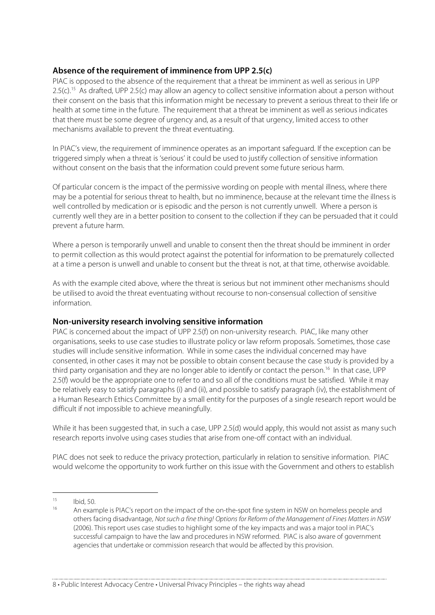#### **Absence of the requirement of imminence from UPP 2.5(c)**

PIAC is opposed to the absence of the requirement that a threat be imminent as well as serious in UPP 2.5(c).<sup>15</sup> As drafted, UPP 2.5(c) may allow an agency to collect sensitive information about a person without their consent on the basis that this information might be necessary to prevent a serious threat to their life or health at some time in the future. The requirement that a threat be imminent as well as serious indicates that there must be some degree of urgency and, as a result of that urgency, limited access to other mechanisms available to prevent the threat eventuating.

In PIAC's view, the requirement of imminence operates as an important safeguard. If the exception can be triggered simply when a threat is 'serious' it could be used to justify collection of sensitive information without consent on the basis that the information could prevent some future serious harm.

Of particular concern is the impact of the permissive wording on people with mental illness, where there may be a potential for serious threat to health, but no imminence, because at the relevant time the illness is well controlled by medication or is episodic and the person is not currently unwell. Where a person is currently well they are in a better position to consent to the collection if they can be persuaded that it could prevent a future harm.

Where a person is temporarily unwell and unable to consent then the threat should be imminent in order to permit collection as this would protect against the potential for information to be prematurely collected at a time a person is unwell and unable to consent but the threat is not, at that time, otherwise avoidable.

As with the example cited above, where the threat is serious but not imminent other mechanisms should be utilised to avoid the threat eventuating without recourse to non-consensual collection of sensitive information.

#### **Non-university research involving sensitive information**

PIAC is concerned about the impact of UPP 2.5(f) on non-university research. PIAC, like many other organisations, seeks to use case studies to illustrate policy or law reform proposals. Sometimes, those case studies will include sensitive information. While in some cases the individual concerned may have consented, in other cases it may not be possible to obtain consent because the case study is provided by a third party organisation and they are no longer able to identify or contact the person. <sup>16</sup> In that case, UPP 2.5(f) would be the appropriate one to refer to and so all of the conditions must be satisfied. While it may be relatively easy to satisfy paragraphs (i) and (ii), and possible to satisfy paragraph (iv), the establishment of a Human Research Ethics Committee by a small entity for the purposes of a single research report would be difficult if not impossible to achieve meaningfully.

While it has been suggested that, in such a case, UPP 2.5(d) would apply, this would not assist as many such research reports involve using cases studies that arise from one-off contact with an individual.

PIAC does not seek to reduce the privacy protection, particularly in relation to sensitive information. PIAC would welcome the opportunity to work further on this issue with the Government and others to establish

 $15$  Ibid, 50.

An example is PIAC's report on the impact of the on-the-spot fine system in NSW on homeless people and others facing disadvantage, Not such a fine thing! Options for Reform of the Management of Fines Matters in NSW (2006). This report uses case studies to highlight some of the key impacts and was a major tool in PIAC's successful campaign to have the law and procedures in NSW reformed. PIAC is also aware of government agencies that undertake or commission research that would be affected by this provision.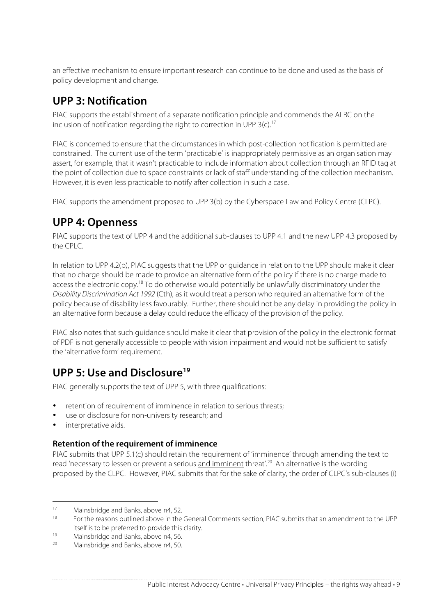an effective mechanism to ensure important research can continue to be done and used as the basis of policy development and change.

## **UPP 3: Notification**

PIAC supports the establishment of a separate notification principle and commends the ALRC on the inclusion of notification regarding the right to correction in UPP 3(c). 17

PIAC is concerned to ensure that the circumstances in which post-collection notification is permitted are constrained. The current use of the term 'practicable' is inappropriately permissive as an organisation may assert, for example, that it wasn't practicable to include information about collection through an RFID tag at the point of collection due to space constraints or lack of staff understanding of the collection mechanism. However, it is even less practicable to notify after collection in such a case.

PIAC supports the amendment proposed to UPP 3(b) by the Cyberspace Law and Policy Centre (CLPC).

## **UPP 4: Openness**

PIAC supports the text of UPP 4 and the additional sub-clauses to UPP 4.1 and the new UPP 4.3 proposed by the CPLC.

In relation to UPP 4.2(b), PIAC suggests that the UPP or guidance in relation to the UPP should make it clear that no charge should be made to provide an alternative form of the policy if there is no charge made to access the electronic copy.<sup>18</sup> To do otherwise would potentially be unlawfully discriminatory under the Disability Discrimination Act 1992 (Cth), as it would treat a person who required an alternative form of the policy because of disability less favourably. Further, there should not be any delay in providing the policy in an alternative form because a delay could reduce the efficacy of the provision of the policy.

PIAC also notes that such guidance should make it clear that provision of the policy in the electronic format of PDF is not generally accessible to people with vision impairment and would not be sufficient to satisfy the 'alternative form' requirement.

## **UPP 5: Use and Disclosure19**

PIAC generally supports the text of UPP 5, with three qualifications:

- retention of requirement of imminence in relation to serious threats;
- use or disclosure for non-university research; and
- interpretative aids.

#### **Retention of the requirement of imminence**

PIAC submits that UPP 5.1(c) should retain the requirement of 'imminence' through amending the text to read 'necessary to lessen or prevent a serious <u>and imminent</u> threat'.<sup>20</sup> An alternative is the wording proposed by the CLPC. However, PIAC submits that for the sake of clarity, the order of CLPC's sub-clauses (i)

<sup>&</sup>lt;sup>17</sup> Mainsbridge and Banks, above n4, 52.<br> $\frac{18}{2}$  For the researce sutlined above in the

<sup>18</sup> For the reasons outlined above in the General Comments section, PIAC submits that an amendment to the UPP itself is to be preferred to provide this clarity.

<sup>19</sup> Mainsbridge and Banks, above n4, 56.<br>20 Mainsbridge and Banks above n4, 50.

Mainsbridge and Banks, above n4, 50.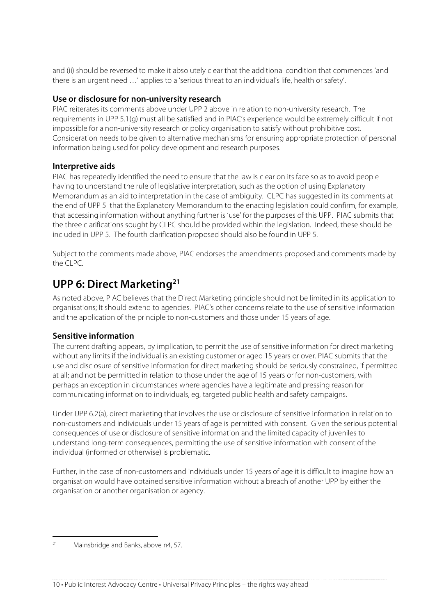and (ii) should be reversed to make it absolutely clear that the additional condition that commences 'and there is an urgent need …' applies to a 'serious threat to an individual's life, health or safety'.

#### **Use or disclosure for non-university research**

PIAC reiterates its comments above under UPP 2 above in relation to non-university research. The requirements in UPP 5.1(g) must all be satisfied and in PIAC's experience would be extremely difficult if not impossible for a non-university research or policy organisation to satisfy without prohibitive cost. Consideration needs to be given to alternative mechanisms for ensuring appropriate protection of personal information being used for policy development and research purposes.

#### **Interpretive aids**

PIAC has repeatedly identified the need to ensure that the law is clear on its face so as to avoid people having to understand the rule of legislative interpretation, such as the option of using Explanatory Memorandum as an aid to interpretation in the case of ambiguity. CLPC has suggested in its comments at the end of UPP 5 that the Explanatory Memorandum to the enacting legislation could confirm, for example, that accessing information without anything further is 'use' for the purposes of this UPP. PIAC submits that the three clarifications sought by CLPC should be provided within the legislation. Indeed, these should be included in UPP 5. The fourth clarification proposed should also be found in UPP 5.

Subject to the comments made above, PIAC endorses the amendments proposed and comments made by the CLPC.

## **UPP 6: Direct Marketing21**

As noted above, PIAC believes that the Direct Marketing principle should not be limited in its application to organisations; It should extend to agencies. PIAC's other concerns relate to the use of sensitive information and the application of the principle to non-customers and those under 15 years of age.

#### **Sensitive information**

The current drafting appears, by implication, to permit the use of sensitive information for direct marketing without any limits if the individual is an existing customer or aged 15 years or over. PIAC submits that the use and disclosure of sensitive information for direct marketing should be seriously constrained, if permitted at all; and not be permitted in relation to those under the age of 15 years or for non-customers, with perhaps an exception in circumstances where agencies have a legitimate and pressing reason for communicating information to individuals, eg, targeted public health and safety campaigns.

Under UPP 6.2(a), direct marketing that involves the use or disclosure of sensitive information in relation to non-customers and individuals under 15 years of age is permitted with consent. Given the serious potential consequences of use or disclosure of sensitive information and the limited capacity of juveniles to understand long-term consequences, permitting the use of sensitive information with consent of the individual (informed or otherwise) is problematic.

Further, in the case of non-customers and individuals under 15 years of age it is difficult to imagine how an organisation would have obtained sensitive information without a breach of another UPP by either the organisation or another organisation or agency.

 <sup>21</sup> Mainsbridge and Banks, above n4, 57.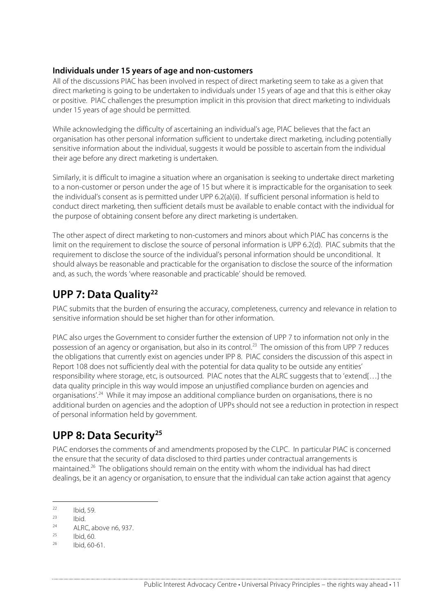#### **Individuals under 15 years of age and non-customers**

All of the discussions PIAC has been involved in respect of direct marketing seem to take as a given that direct marketing is going to be undertaken to individuals under 15 years of age and that this is either okay or positive. PIAC challenges the presumption implicit in this provision that direct marketing to individuals under 15 years of age should be permitted.

While acknowledging the difficulty of ascertaining an individual's age, PIAC believes that the fact an organisation has other personal information sufficient to undertake direct marketing, including potentially sensitive information about the individual, suggests it would be possible to ascertain from the individual their age before any direct marketing is undertaken.

Similarly, it is difficult to imagine a situation where an organisation is seeking to undertake direct marketing to a non-customer or person under the age of 15 but where it is impracticable for the organisation to seek the individual's consent as is permitted under UPP 6.2(a)(ii). If sufficient personal information is held to conduct direct marketing, then sufficient details must be available to enable contact with the individual for the purpose of obtaining consent before any direct marketing is undertaken.

The other aspect of direct marketing to non-customers and minors about which PIAC has concerns is the limit on the requirement to disclose the source of personal information is UPP 6.2(d). PIAC submits that the requirement to disclose the source of the individual's personal information should be unconditional. It should always be reasonable and practicable for the organisation to disclose the source of the information and, as such, the words 'where reasonable and practicable' should be removed.

## **UPP 7: Data Quality22**

PIAC submits that the burden of ensuring the accuracy, completeness, currency and relevance in relation to sensitive information should be set higher than for other information.

PIAC also urges the Government to consider further the extension of UPP 7 to information not only in the possession of an agency or organisation, but also in its control.<sup>23</sup> The omission of this from UPP 7 reduces the obligations that currently exist on agencies under IPP 8. PIAC considers the discussion of this aspect in Report 108 does not sufficiently deal with the potential for data quality to be outside any entities' responsibility where storage, etc, is outsourced. PIAC notes that the ALRC suggests that to 'extend[…] the data quality principle in this way would impose an unjustified compliance burden on agencies and organisations'.<sup>24</sup> While it may impose an additional compliance burden on organisations, there is no additional burden on agencies and the adoption of UPPs should not see a reduction in protection in respect of personal information held by government.

## **UPP 8: Data Security25**

PIAC endorses the comments of and amendments proposed by the CLPC. In particular PIAC is concerned the ensure that the security of data disclosed to third parties under contractual arrangements is maintained.<sup>26</sup> The obligations should remain on the entity with whom the individual has had direct dealings, be it an agency or organisation, to ensure that the individual can take action against that agency

 $22$  Ibid, 59.

 $\frac{23}{24}$  Ibid.

 $24$  ALRC, above n6, 937.

 $^{25}$  Ibid, 60.

Ibid, 60-61.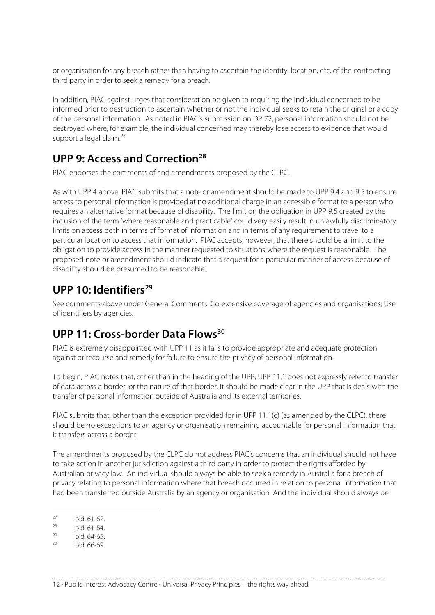or organisation for any breach rather than having to ascertain the identity, location, etc, of the contracting third party in order to seek a remedy for a breach.

In addition, PIAC against urges that consideration be given to requiring the individual concerned to be informed prior to destruction to ascertain whether or not the individual seeks to retain the original or a copy of the personal information. As noted in PIAC's submission on DP 72, personal information should not be destroyed where, for example, the individual concerned may thereby lose access to evidence that would support a legal claim.<sup>27</sup>

## **UPP 9: Access and Correction28**

PIAC endorses the comments of and amendments proposed by the CLPC.

As with UPP 4 above, PIAC submits that a note or amendment should be made to UPP 9.4 and 9.5 to ensure access to personal information is provided at no additional charge in an accessible format to a person who requires an alternative format because of disability. The limit on the obligation in UPP 9.5 created by the inclusion of the term 'where reasonable and practicable' could very easily result in unlawfully discriminatory limits on access both in terms of format of information and in terms of any requirement to travel to a particular location to access that information. PIAC accepts, however, that there should be a limit to the obligation to provide access in the manner requested to situations where the request is reasonable. The proposed note or amendment should indicate that a request for a particular manner of access because of disability should be presumed to be reasonable.

## **UPP 10: Identifiers29**

See comments above under General Comments: Co-extensive coverage of agencies and organisations: Use of identifiers by agencies.

## **UPP 11: Cross-border Data Flows30**

PIAC is extremely disappointed with UPP 11 as it fails to provide appropriate and adequate protection against or recourse and remedy for failure to ensure the privacy of personal information.

To begin, PIAC notes that, other than in the heading of the UPP, UPP 11.1 does not expressly refer to transfer of data across a border, or the nature of that border. It should be made clear in the UPP that is deals with the transfer of personal information outside of Australia and its external territories.

PIAC submits that, other than the exception provided for in UPP 11.1(c) (as amended by the CLPC), there should be no exceptions to an agency or organisation remaining accountable for personal information that it transfers across a border.

The amendments proposed by the CLPC do not address PIAC's concerns that an individual should not have to take action in another jurisdiction against a third party in order to protect the rights afforded by Australian privacy law. An individual should always be able to seek a remedy in Australia for a breach of privacy relating to personal information where that breach occurred in relation to personal information that had been transferred outside Australia by an agency or organisation. And the individual should always be

 $^{27}$  Ibid, 61-62.

 $\frac{28}{29}$  Ibid, 61-64.

 $^{29}$  Ibid, 64-65.

Ibid, 66-69.